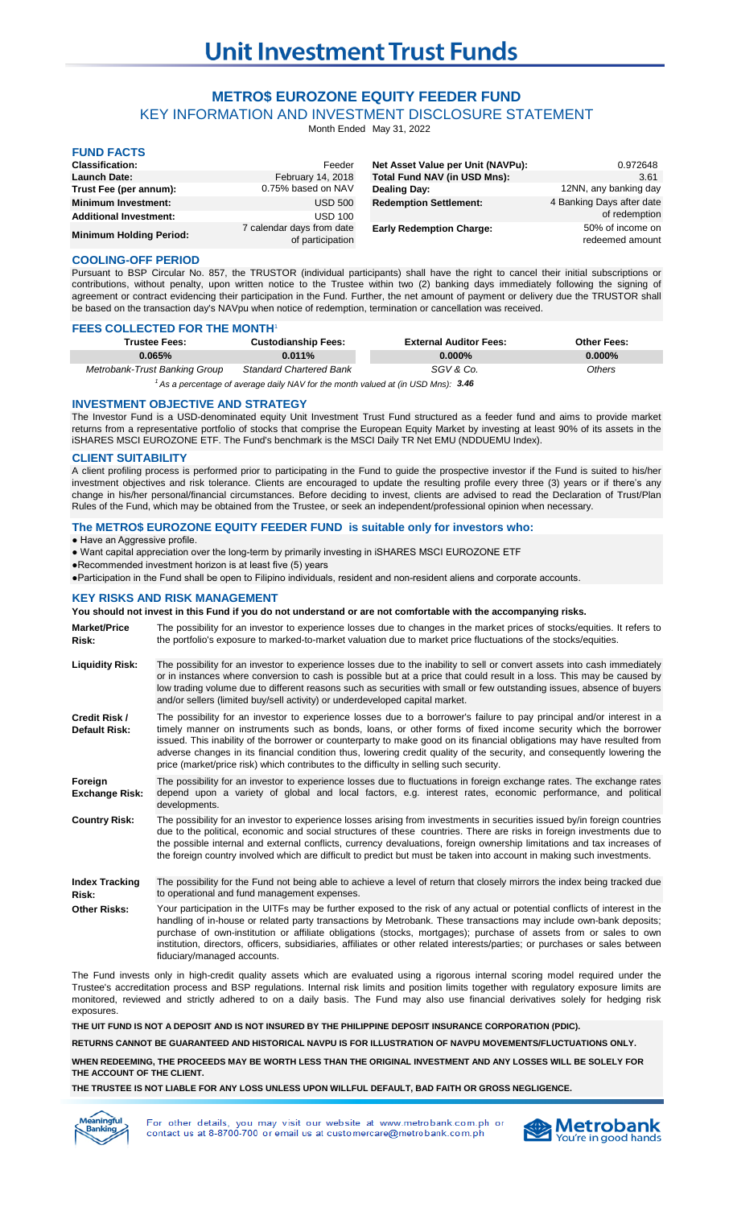# **METRO\$ EUROZONE EQUITY FEEDER FUND**

KEY INFORMATION AND INVESTMENT DISCLOSURE STATEMENT

Month Ended May 31, 2022

| <b>FUND FACTS</b>              |                                               |                                   |                                     |
|--------------------------------|-----------------------------------------------|-----------------------------------|-------------------------------------|
| <b>Classification:</b>         | Feeder                                        | Net Asset Value per Unit (NAVPu): | 0.972648                            |
| <b>Launch Date:</b>            | February 14, 2018                             | Total Fund NAV (in USD Mns):      | 3.61                                |
| Trust Fee (per annum):         | 0.75% based on NAV                            | Dealing Day:                      | 12NN, any banking day               |
| <b>Minimum Investment:</b>     | <b>USD 500</b>                                | <b>Redemption Settlement:</b>     | 4 Banking Days after date           |
| <b>Additional Investment:</b>  | <b>USD 100</b>                                |                                   | of redemption                       |
| <b>Minimum Holding Period:</b> | 7 calendar days from date<br>of participation | <b>Early Redemption Charge:</b>   | 50% of income on<br>redeemed amount |

## **COOLING-OFF PERIOD**

Pursuant to BSP Circular No. 857, the TRUSTOR (individual participants) shall have the right to cancel their initial subscriptions or contributions, without penalty, upon written notice to the Trustee within two (2) banking days immediately following the signing of agreement or contract evidencing their participation in the Fund. Further, the net amount of payment or delivery due the TRUSTOR shall be based on the transaction day's NAVpu when notice of redemption, termination or cancellation was received.

#### **FEES COLLECTED FOR THE MONTH1**

| <b>Trustee Fees:</b>          | <b>Custodianship Fees:</b>     | <b>External Auditor Fees:</b> | <b>Other Fees:</b> |
|-------------------------------|--------------------------------|-------------------------------|--------------------|
| 0.065%                        | $0.011\%$                      | $0.000\%$                     | $0.000\%$          |
| Metrobank-Trust Banking Group | <b>Standard Chartered Bank</b> | SGV & Co.                     | Others             |

*3.46 <sup>1</sup>As a percentage of average daily NAV for the month valued at (in USD Mns):*

#### **INVESTMENT OBJECTIVE AND STRATEGY**

The Investor Fund is a USD-denominated equity Unit Investment Trust Fund structured as a feeder fund and aims to provide market returns from a representative portfolio of stocks that comprise the European Equity Market by investing at least 90% of its assets in the iSHARES MSCI EUROZONE ETF. The Fund's benchmark is the MSCI Daily TR Net EMU (NDDUEMU Index).

#### **CLIENT SUITABILITY**

A client profiling process is performed prior to participating in the Fund to guide the prospective investor if the Fund is suited to his/her investment objectives and risk tolerance. Clients are encouraged to update the resulting profile every three (3) years or if there's any change in his/her personal/financial circumstances. Before deciding to invest, clients are advised to read the Declaration of Trust/Plan Rules of the Fund, which may be obtained from the Trustee, or seek an independent/professional opinion when necessary.

#### **The METRO\$ EUROZONE EQUITY FEEDER FUND is suitable only for investors who:**

● Have an Aggressive profile.

● Want capital appreciation over the long-term by primarily investing in iSHARES MSCI EUROZONE ETF

●Recommended investment horizon is at least five (5) years

●Participation in the Fund shall be open to Filipino individuals, resident and non-resident aliens and corporate accounts.

## **KEY RISKS AND RISK MANAGEMENT**

**You should not invest in this Fund if you do not understand or are not comfortable with the accompanying risks.**

| <b>Market/Price</b><br>Risk:     | The possibility for an investor to experience losses due to changes in the market prices of stocks/equities. It refers to<br>the portfolio's exposure to marked-to-market valuation due to market price fluctuations of the stocks/equities.                                                                                                                                                                                                                                                                                                                                             |
|----------------------------------|------------------------------------------------------------------------------------------------------------------------------------------------------------------------------------------------------------------------------------------------------------------------------------------------------------------------------------------------------------------------------------------------------------------------------------------------------------------------------------------------------------------------------------------------------------------------------------------|
| <b>Liquidity Risk:</b>           | The possibility for an investor to experience losses due to the inability to sell or convert assets into cash immediately<br>or in instances where conversion to cash is possible but at a price that could result in a loss. This may be caused by<br>low trading volume due to different reasons such as securities with small or few outstanding issues, absence of buyers<br>and/or sellers (limited buy/sell activity) or underdeveloped capital market.                                                                                                                            |
| Credit Risk /<br>Default Risk:   | The possibility for an investor to experience losses due to a borrower's failure to pay principal and/or interest in a<br>timely manner on instruments such as bonds, loans, or other forms of fixed income security which the borrower<br>issued. This inability of the borrower or counterparty to make good on its financial obligations may have resulted from<br>adverse changes in its financial condition thus, lowering credit quality of the security, and consequently lowering the<br>price (market/price risk) which contributes to the difficulty in selling such security. |
| Foreign<br><b>Exchange Risk:</b> | The possibility for an investor to experience losses due to fluctuations in foreign exchange rates. The exchange rates<br>depend upon a variety of global and local factors, e.g. interest rates, economic performance, and political<br>developments.                                                                                                                                                                                                                                                                                                                                   |
| <b>Country Risk:</b>             | The possibility for an investor to experience losses arising from investments in securities issued by/in foreign countries<br>due to the political, economic and social structures of these countries. There are risks in foreign investments due to<br>the possible internal and external conflicts, currency devaluations, foreign ownership limitations and tax increases of<br>the foreign country involved which are difficult to predict but must be taken into account in making such investments.                                                                                |
| <b>Index Tracking</b><br>Risk:   | The possibility for the Fund not being able to achieve a level of return that closely mirrors the index being tracked due<br>to operational and fund management expenses.                                                                                                                                                                                                                                                                                                                                                                                                                |
| <b>Other Risks:</b>              | Your participation in the UITFs may be further exposed to the risk of any actual or potential conflicts of interest in the<br>handling of in-house or related party transactions by Metrobank. These transactions may include own-bank deposits;<br>purchase of own-institution or affiliate obligations (stocks, mortgages); purchase of assets from or sales to own<br>institution, directors, officers, subsidiaries, affiliates or other related interests/parties; or purchases or sales between<br>fiduciary/managed accounts.                                                     |

The Fund invests only in high-credit quality assets which are evaluated using a rigorous internal scoring model required under the Trustee's accreditation process and BSP regulations. Internal risk limits and position limits together with regulatory exposure limits are monitored, reviewed and strictly adhered to on a daily basis. The Fund may also use financial derivatives solely for hedging risk exposures.

**THE UIT FUND IS NOT A DEPOSIT AND IS NOT INSURED BY THE PHILIPPINE DEPOSIT INSURANCE CORPORATION (PDIC).**

**RETURNS CANNOT BE GUARANTEED AND HISTORICAL NAVPU IS FOR ILLUSTRATION OF NAVPU MOVEMENTS/FLUCTUATIONS ONLY.**

**WHEN REDEEMING, THE PROCEEDS MAY BE WORTH LESS THAN THE ORIGINAL INVESTMENT AND ANY LOSSES WILL BE SOLELY FOR THE ACCOUNT OF THE CLIENT.**

**THE TRUSTEE IS NOT LIABLE FOR ANY LOSS UNLESS UPON WILLFUL DEFAULT, BAD FAITH OR GROSS NEGLIGENCE.**



you may visit our website at www.metrobank.com.ph or For other details. contact us at 8-8700-700 or email us at customercare@metrobank.com.ph

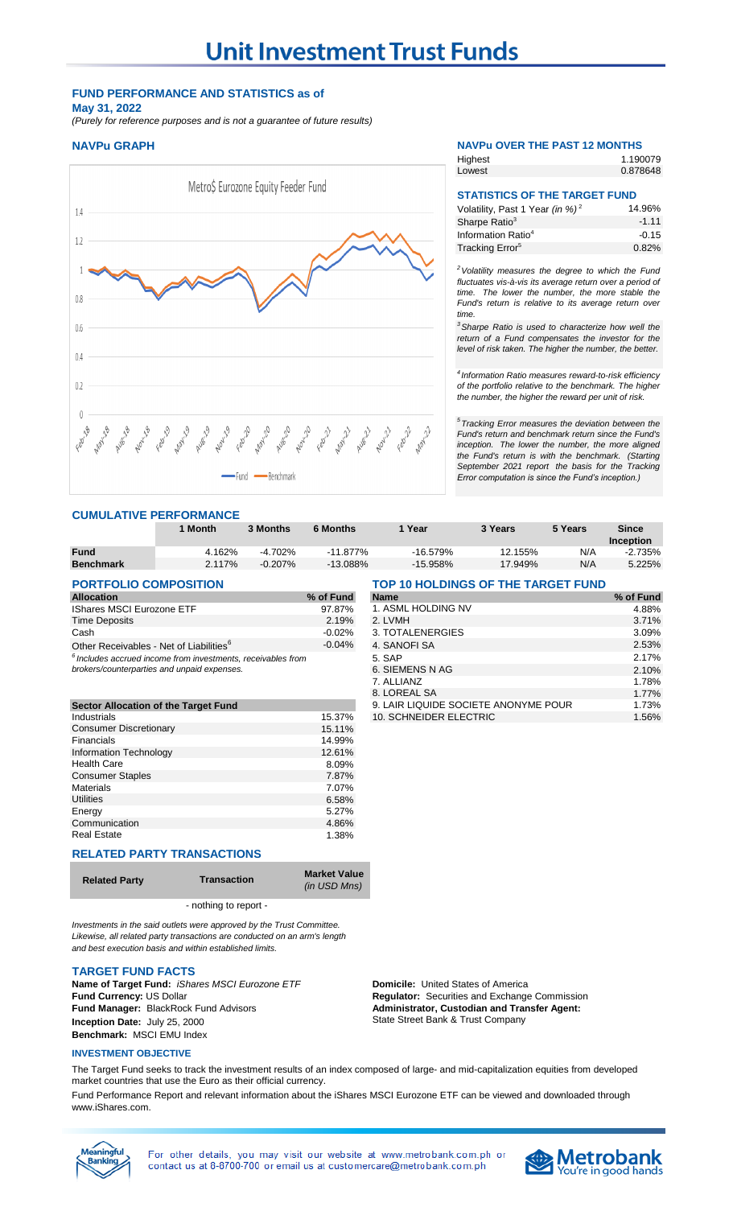## **FUND PERFORMANCE AND STATISTICS as of May 31, 2022**

*(Purely for reference purposes and is not a guarantee of future results)*

## **NAVPu GRAPH NAVPu OVER THE PAST 12 MONTHS**



## **CUMULATIVE PERFORMANCE**

|                                | Month  | 3 Months   | <b>6 Months</b> | l Year                               | 3 Years | 5 Years | <b>Since</b> |
|--------------------------------|--------|------------|-----------------|--------------------------------------|---------|---------|--------------|
|                                |        |            |                 |                                      |         |         | Inception    |
| <b>Fund</b>                    | 4.162% | $-4.702%$  | $-11.877\%$     | -16.579%                             | 12.155% | N/A     | $-2.735%$    |
| <b>Benchmark</b>               | 2.117% | $-0.207\%$ | $-13.088\%$     | $-15.958\%$                          | 17.949% | N/A     | 5.225%       |
| <b>BARTEALIA AALIBAAITIALI</b> |        |            |                 | MAR JA ITALISILAR AMMIRIMARIN MILITA |         |         |              |

| <b>PORTFOLIO COMPOSITION</b>                                  |           | <b>TOP 10 HOLDINGS OF THE TARGET FUND</b> |           |  |
|---------------------------------------------------------------|-----------|-------------------------------------------|-----------|--|
| <b>Allocation</b>                                             | % of Fund | <b>Name</b>                               | % of Fund |  |
| <b>IShares MSCI Eurozone ETF</b>                              | 97.87%    | 1. ASML HOLDING NV                        | 4.88%     |  |
| Time Deposits                                                 | 2.19%     | 2. LVMH                                   | 3.71%     |  |
| Cash                                                          | $-0.02\%$ | 3. TOTALENERGIES                          | 3.09%     |  |
| Other Receivables - Net of Liabilities <sup>6</sup>           | $-0.04\%$ | 4. SANOFI SA                              | 2.53%     |  |
| $6$ Includes accrued income from investments receivables from |           | 5 SAP                                     | 2.17%     |  |

| Sector Allocation of the Target Fund |        |
|--------------------------------------|--------|
| Industrials                          | 15.37% |
| <b>Consumer Discretionary</b>        | 15.11% |
| Financials                           | 14.99% |
| Information Technology               | 12.61% |
| <b>Health Care</b>                   | 8.09%  |
| <b>Consumer Staples</b>              | 7.87%  |
| <b>Materials</b>                     | 7.07%  |
| Utilities                            | 6.58%  |
| Energy                               | 5.27%  |
| Communication                        | 4.86%  |
| <b>Real Estate</b>                   | 1.38%  |
| <b>DEI ATEN DADTY TRANSACTIONS</b>   |        |

#### **RELATED PARTY TRANSACTIONS**

| <b>Related Party</b> | <b>Transaction</b> | <b>Market Value</b><br>(in USD Mns) |
|----------------------|--------------------|-------------------------------------|
|                      |                    |                                     |

- nothing to report -

*Investments in the said outlets were approved by the Trust Committee. Likewise, all related party transactions are conducted on an arm's length and best execution basis and within established limits.*

## **TARGET FUND FACTS**

**Name of Target Fund:** *iShares MSCI Eurozone ETF* **Domicile:** United States of America **Fund Currency:** US Dollar **Regulator:** Securities and Exchange Commission **Fund Manager:** BlackRock Fund Advisors **Inception Date:** July 25, 2000 **Benchmark:** MSCI EMU Index

## **IESTMENT OBJECTIVE**

**Administrator, Custodian and Transfer Agent:**  State Street Bank & Trust Company

0.82% Information Ratio<sup>4</sup> Tracking Error<sup>5</sup>

Sharpe Ratio<sup>3</sup>

**Highest** Lowest

*<sup>2</sup>Volatility measures the degree to which the Fund fluctuates vis-à-vis its average return over a period of time. The lower the number, the more stable the Fund's return is relative to its average return over time.* 

**STATISTICS OF THE TARGET FUND**

Volatility, Past 1 Year *(in %)* <sup>2</sup>

1.190079 0.878648

> 14.96% -1.11 -0.15

*<sup>3</sup>Sharpe Ratio is used to characterize how well the return of a Fund compensates the investor for the level of risk taken. The higher the number, the better.*

*4 Information Ratio measures reward-to-risk efficiency of the portfolio relative to the benchmark. The higher the number, the higher the reward per unit of risk.*

*5 Tracking Error measures the deviation between the Fund's return and benchmark return since the Fund's inception. The lower the number, the more aligned the Fund's return is with the benchmark. (Starting September 2021 report the basis for the Tracking Error computation is since the Fund's inception.)*

| <b>Allocation</b>                                              | % of Fund | <b>Name</b>                          | % of Fund |
|----------------------------------------------------------------|-----------|--------------------------------------|-----------|
| <b>IShares MSCI Eurozone ETF</b>                               | 97.87%    | 1. ASML HOLDING NV                   | 4.88%     |
| Time Deposits                                                  | 2.19%     | 2. LVMH                              | 3.71%     |
| Cash                                                           | $-0.02%$  | 3. TOTALENERGIES                     | 3.09%     |
| Other Receivables - Net of Liabilities <sup>6</sup>            | $-0.04%$  | 4. SANOFI SA                         | 2.53%     |
| $6$ Includes accrued income from investments, receivables from |           | 5. SAP                               | 2.17%     |
| brokers/counterparties and unpaid expenses.                    |           | 6. SIEMENS N AG                      | 2.10%     |
|                                                                |           | 7. ALLIANZ                           | 1.78%     |
|                                                                |           | 8. LOREAL SA                         | 1.77%     |
| <b>Sector Allocation of the Target Fund</b>                    |           | 9. LAIR LIQUIDE SOCIETE ANONYME POUR | 1.73%     |
| Industrials                                                    | 15.37%    | 10. SCHNEIDER ELECTRIC               | 1.56%     |

The Target Fund seeks to track the investment results of an index composed of large- and mid-capitalization equities from developed market countries that use the Euro as their official currency.

Fund Performance Report and relevant information about the iShares MSCI Eurozone ETF can be viewed and downloaded through www.iShares.com.